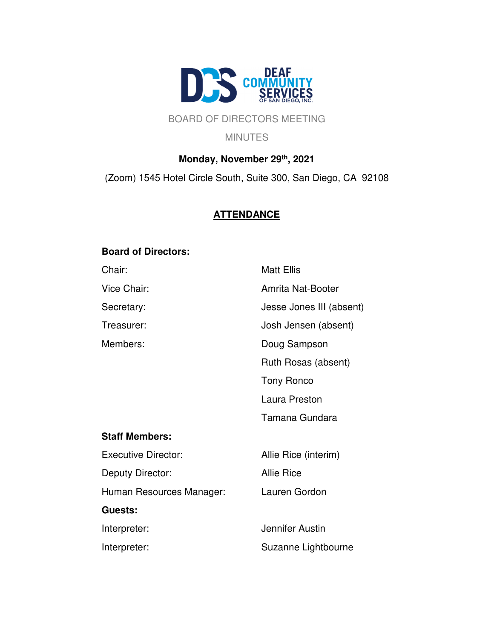

## BOARD OF DIRECTORS MEETING

**MINUTES** 

# **Monday, November 29th, 2021** (Zoom) 1545 Hotel Circle South, Suite 300, San Diego, CA 92108

## **ATTENDANCE**

## **Board of Directors:**

| Chair:                     | <b>Matt Ellis</b>        |
|----------------------------|--------------------------|
| Vice Chair:                | Amrita Nat-Booter        |
| Secretary:                 | Jesse Jones III (absent) |
| Treasurer:                 | Josh Jensen (absent)     |
| Members:                   | Doug Sampson             |
|                            | Ruth Rosas (absent)      |
|                            | <b>Tony Ronco</b>        |
|                            | Laura Preston            |
|                            | Tamana Gundara           |
| <b>Staff Members:</b>      |                          |
| <b>Executive Director:</b> | Allie Rice (interim)     |
| Deputy Director:           | <b>Allie Rice</b>        |
| Human Resources Manager:   | Lauren Gordon            |
| Guests:                    |                          |
| Interpreter:               | Jennifer Austin          |
| Interpreter:               | Suzanne Lightbourne      |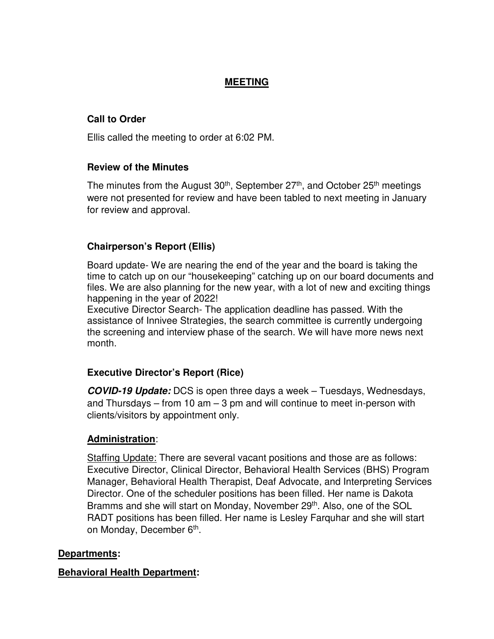### **MEETING**

## **Call to Order**

Ellis called the meeting to order at 6:02 PM.

### **Review of the Minutes**

The minutes from the August  $30<sup>th</sup>$ , September  $27<sup>th</sup>$ , and October  $25<sup>th</sup>$  meetings were not presented for review and have been tabled to next meeting in January for review and approval.

### **Chairperson's Report (Ellis)**

Board update- We are nearing the end of the year and the board is taking the time to catch up on our "housekeeping" catching up on our board documents and files. We are also planning for the new year, with a lot of new and exciting things happening in the year of 2022!

Executive Director Search- The application deadline has passed. With the assistance of Innivee Strategies, the search committee is currently undergoing the screening and interview phase of the search. We will have more news next month.

### **Executive Director's Report (Rice)**

**COVID-19 Update:** DCS is open three days a week – Tuesdays, Wednesdays, and Thursdays – from 10 am  $-$  3 pm and will continue to meet in-person with clients/visitors by appointment only.

### **Administration**:

Staffing Update: There are several vacant positions and those are as follows: Executive Director, Clinical Director, Behavioral Health Services (BHS) Program Manager, Behavioral Health Therapist, Deaf Advocate, and Interpreting Services Director. One of the scheduler positions has been filled. Her name is Dakota Bramms and she will start on Monday, November 29<sup>th</sup>. Also, one of the SOL RADT positions has been filled. Her name is Lesley Farquhar and she will start on Monday, December 6<sup>th</sup>.

### **Departments:**

### **Behavioral Health Department:**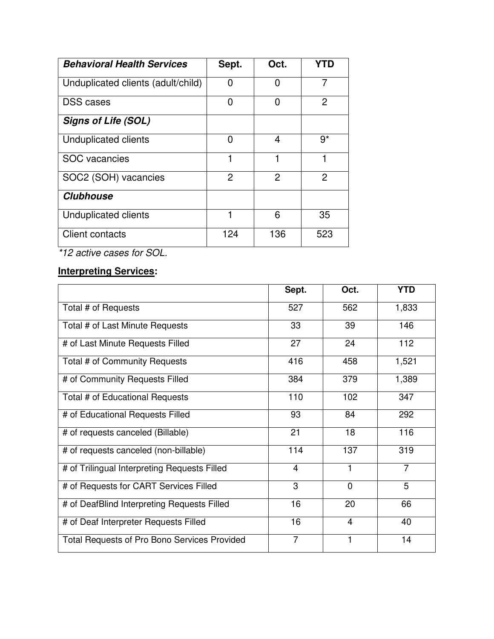| <b>Behavioral Health Services</b>  | Sept. | Oct. | YTD  |
|------------------------------------|-------|------|------|
| Unduplicated clients (adult/child) | 0     | 0    | 7    |
| <b>DSS</b> cases                   | 0     | 0    | 2    |
| <b>Signs of Life (SOL)</b>         |       |      |      |
| Unduplicated clients               | 0     | 4    | $9*$ |
| <b>SOC</b> vacancies               | 1     |      |      |
| SOC2 (SOH) vacancies               | 2     | 2    | 2    |
| <b>Clubhouse</b>                   |       |      |      |
| Unduplicated clients               | 1     | 6    | 35   |
| Client contacts                    | 124   | 136  | 523  |

\*12 active cases for SOL.

# **Interpreting Services:**

|                                                     | Sept.          | Oct.     | <b>YTD</b>     |
|-----------------------------------------------------|----------------|----------|----------------|
| Total # of Requests                                 | 527            | 562      | 1,833          |
| Total # of Last Minute Requests                     | 33             | 39       | 146            |
| # of Last Minute Requests Filled                    | 27             | 24       | 112            |
| Total # of Community Requests                       | 416            | 458      | 1,521          |
| # of Community Requests Filled                      | 384            | 379      | 1,389          |
| Total # of Educational Requests                     | 110            | 102      | 347            |
| # of Educational Requests Filled                    | 93             | 84       | 292            |
| # of requests canceled (Billable)                   | 21             | 18       | 116            |
| # of requests canceled (non-billable)               | 114            | 137      | 319            |
| # of Trilingual Interpreting Requests Filled        | 4              | 1        | $\overline{7}$ |
| # of Requests for CART Services Filled              | 3              | $\Omega$ | 5              |
| # of DeafBlind Interpreting Requests Filled         | 16             | 20       | 66             |
| # of Deaf Interpreter Requests Filled               | 16             | 4        | 40             |
| <b>Total Requests of Pro Bono Services Provided</b> | $\overline{7}$ | 1        | 14             |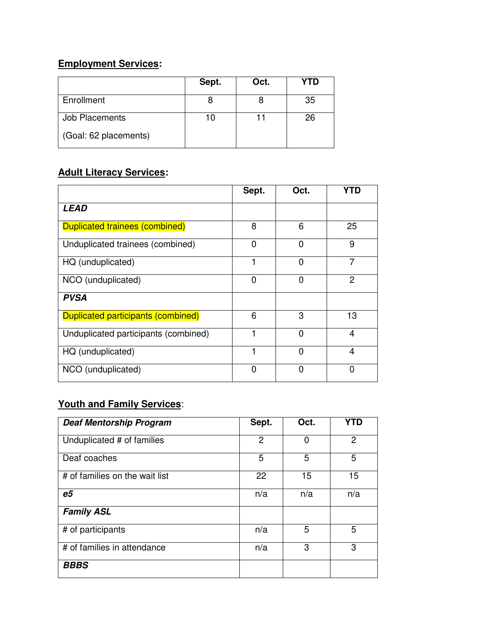## **Employment Services:**

|                       | Sept. | Oct. | YTD |
|-----------------------|-------|------|-----|
| Enrollment            |       |      | 35  |
| Job Placements        |       |      | 26  |
| (Goal: 62 placements) |       |      |     |

## **Adult Literacy Services:**

|                                           | Sept.          | Oct.           | YTD            |
|-------------------------------------------|----------------|----------------|----------------|
| <b>LEAD</b>                               |                |                |                |
| <b>Duplicated trainees (combined)</b>     | 8              | 6              | 25             |
| Unduplicated trainees (combined)          | $\Omega$       | $\Omega$       | 9              |
| HQ (unduplicated)                         |                | 0              | 7              |
| NCO (unduplicated)                        | $\overline{0}$ | $\overline{0}$ | $\overline{2}$ |
| <b>PVSA</b>                               |                |                |                |
| <b>Duplicated participants (combined)</b> | 6              | 3              | 13             |
| Unduplicated participants (combined)      | 1              | $\Omega$       | $\overline{4}$ |
| HQ (unduplicated)                         | 1              | 0              | 4              |
| NCO (unduplicated)                        | $\Omega$       | $\Omega$       | $\Omega$       |

## **Youth and Family Services**:

| <b>Deaf Mentorship Program</b> | Sept.          | Oct. | YTD |
|--------------------------------|----------------|------|-----|
| Unduplicated # of families     | $\overline{2}$ | 0    | 2   |
| Deaf coaches                   | 5              | 5    | 5   |
| # of families on the wait list | 22             | 15   | 15  |
| e <sub>5</sub>                 | n/a            | n/a  | n/a |
| <b>Family ASL</b>              |                |      |     |
| # of participants              | n/a            | 5    | 5   |
| # of families in attendance    | n/a            | 3    | 3   |
| <b>BBBS</b>                    |                |      |     |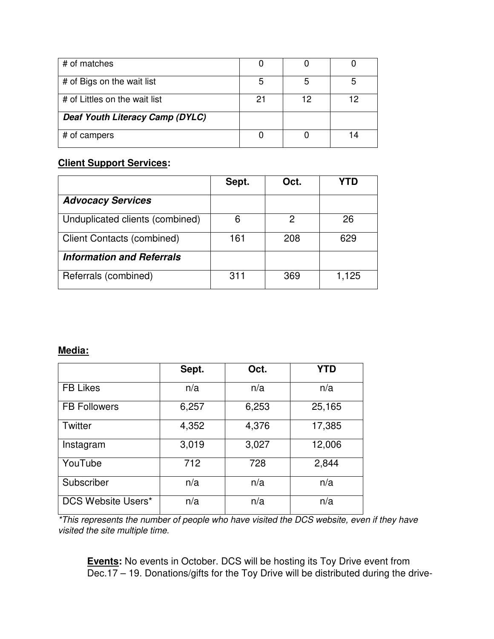| # of matches                    |    |    |  |
|---------------------------------|----|----|--|
| # of Bigs on the wait list      | 5  |    |  |
| # of Littles on the wait list   | 21 | 12 |  |
| Deaf Youth Literacy Camp (DYLC) |    |    |  |
| # of campers                    |    |    |  |

## **Client Support Services:**

|                                   | Sept. | Oct. |       |
|-----------------------------------|-------|------|-------|
| <b>Advocacy Services</b>          |       |      |       |
| Unduplicated clients (combined)   | 6     | 2    | 26    |
| <b>Client Contacts (combined)</b> | 161   | 208  | 629   |
| <b>Information and Referrals</b>  |       |      |       |
| Referrals (combined)              | 311   | 369  | 1,125 |

### **Media:**

|                     | Sept. | Oct.  | <b>YTD</b> |
|---------------------|-------|-------|------------|
| <b>FB Likes</b>     | n/a   | n/a   | n/a        |
| <b>FB Followers</b> | 6,257 | 6,253 | 25,165     |
| Twitter             | 4,352 | 4,376 | 17,385     |
| Instagram           | 3,019 | 3,027 | 12,006     |
| YouTube             | 712   | 728   | 2,844      |
| Subscriber          | n/a   | n/a   | n/a        |
| DCS Website Users*  | n/a   | n/a   | n/a        |

\*This represents the number of people who have visited the DCS website, even if they have visited the site multiple time.

**Events:** No events in October. DCS will be hosting its Toy Drive event from Dec.17 – 19. Donations/gifts for the Toy Drive will be distributed during the drive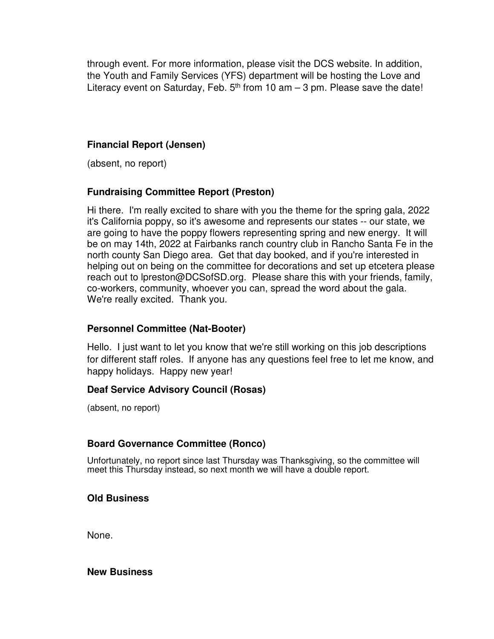through event. For more information, please visit the DCS website. In addition, the Youth and Family Services (YFS) department will be hosting the Love and Literacy event on Saturday, Feb.  $5<sup>th</sup>$  from 10 am  $-$  3 pm. Please save the date!

### **Financial Report (Jensen)**

(absent, no report)

### **Fundraising Committee Report (Preston)**

Hi there. I'm really excited to share with you the theme for the spring gala, 2022 it's California poppy, so it's awesome and represents our states -- our state, we are going to have the poppy flowers representing spring and new energy. It will be on may 14th, 2022 at Fairbanks ranch country club in Rancho Santa Fe in the north county San Diego area. Get that day booked, and if you're interested in helping out on being on the committee for decorations and set up etcetera please reach out to lpreston@DCSofSD.org. Please share this with your friends, family, co-workers, community, whoever you can, spread the word about the gala. We're really excited. Thank you.

### **Personnel Committee (Nat-Booter)**

Hello. I just want to let you know that we're still working on this job descriptions for different staff roles. If anyone has any questions feel free to let me know, and happy holidays. Happy new year!

### **Deaf Service Advisory Council (Rosas)**

(absent, no report)

### **Board Governance Committee (Ronco)**

Unfortunately, no report since last Thursday was Thanksgiving, so the committee will meet this Thursday instead, so next month we will have a double report.

### **Old Business**

None.

### **New Business**